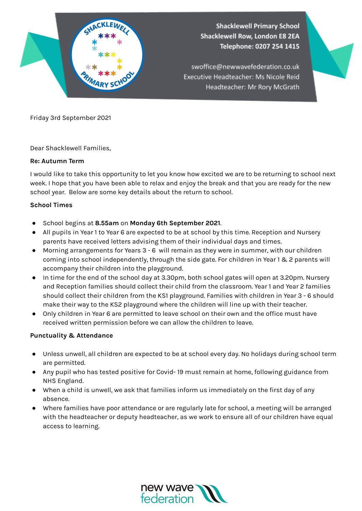

Friday 3rd September 2021

Dear Shacklewell Families,

## **Re: Autumn Term**

I would like to take this opportunity to let you know how excited we are to be returning to school next week. I hope that you have been able to relax and enjoy the break and that you are ready for the new school year. Below are some key details about the return to school.

## **School Times**

- School begins at **8.55am** on **Monday 6th September 2021**.
- All pupils in Year 1 to Year 6 are expected to be at school by this time. Reception and Nursery parents have received letters advising them of their individual days and times.
- Morning arrangements for Years 3 6 will remain as they were in summer, with our children coming into school independently, through the side gate. For children in Year 1 & 2 parents will accompany their children into the playground.
- In time for the end of the school day at 3.30pm, both school gates will open at 3.20pm. Nursery and Reception families should collect their child from the classroom. Year 1 and Year 2 families should collect their children from the KS1 playground. Families with children in Year 3 - 6 should make their way to the KS2 playground where the children will line up with their teacher.
- Only children in Year 6 are permitted to leave school on their own and the office must have received written permission before we can allow the children to leave.

## **Punctuality & Attendance**

- Unless unwell, all children are expected to be at school every day. No holidays during school term are permitted.
- Any pupil who has tested positive for Covid- 19 must remain at home, following guidance from NHS England.
- When a child is unwell, we ask that families inform us immediately on the first day of any absence.
- Where families have poor attendance or are regularly late for school, a meeting will be arranged with the headteacher or deputy headteacher, as we work to ensure all of our children have equal access to learning.